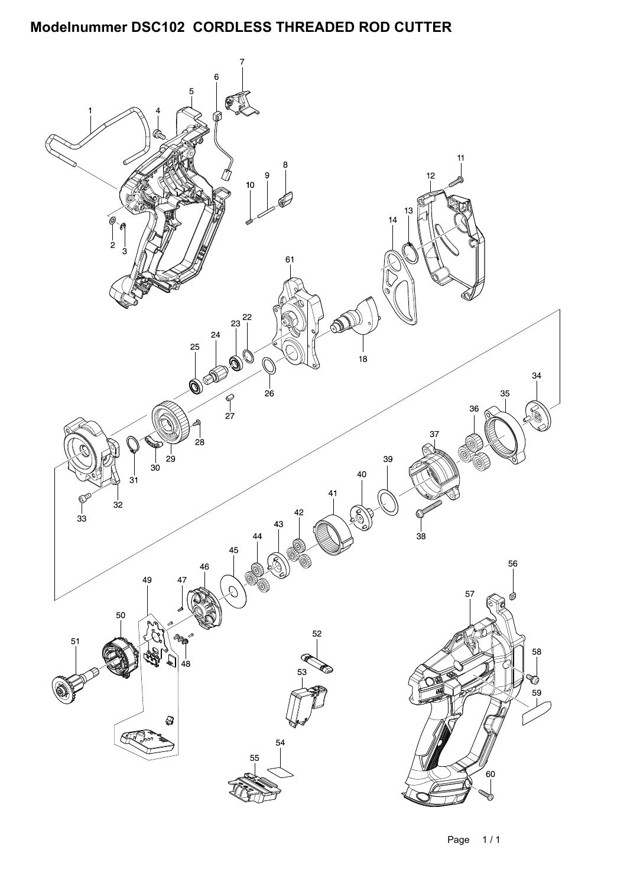## Modelnummer DSC102 CORDLESS THREADED ROD CUTTER

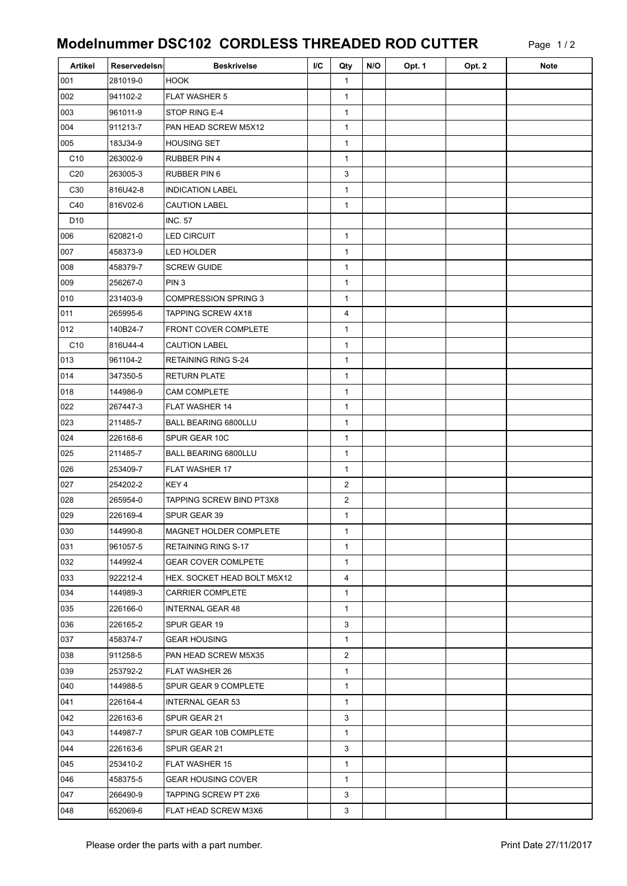## Modelnummer DSC102 CORDLESS THREADED ROD CUTTER

Page 1 / 2

| Artikel         | Reservedelsn | <b>Beskrivelse</b>          | I/C | Qty            | N/O | Opt. 1 | Opt. 2 | <b>Note</b> |
|-----------------|--------------|-----------------------------|-----|----------------|-----|--------|--------|-------------|
| 001             | 281019-0     | <b>HOOK</b>                 |     | $\mathbf{1}$   |     |        |        |             |
| 002             | 941102-2     | <b>FLAT WASHER 5</b>        |     | 1              |     |        |        |             |
| 003             | 961011-9     | STOP RING E-4               |     | $\mathbf{1}$   |     |        |        |             |
| 004             | 911213-7     | PAN HEAD SCREW M5X12        |     | $\mathbf{1}$   |     |        |        |             |
| 005             | 183J34-9     | <b>HOUSING SET</b>          |     | $\mathbf{1}$   |     |        |        |             |
| C <sub>10</sub> | 263002-9     | <b>RUBBER PIN 4</b>         |     | $\mathbf{1}$   |     |        |        |             |
| C <sub>20</sub> | 263005-3     | RUBBER PIN 6                |     | 3              |     |        |        |             |
| C <sub>30</sub> | 816U42-8     | <b>INDICATION LABEL</b>     |     | 1              |     |        |        |             |
| C40             | 816V02-6     | <b>CAUTION LABEL</b>        |     | 1              |     |        |        |             |
| D <sub>10</sub> |              | <b>INC. 57</b>              |     |                |     |        |        |             |
| 006             | 620821-0     | <b>LED CIRCUIT</b>          |     | $\mathbf{1}$   |     |        |        |             |
| 007             | 458373-9     | <b>LED HOLDER</b>           |     | $\mathbf{1}$   |     |        |        |             |
| 008             | 458379-7     | <b>SCREW GUIDE</b>          |     | 1              |     |        |        |             |
| 009             | 256267-0     | PIN <sub>3</sub>            |     | $\mathbf{1}$   |     |        |        |             |
| 010             | 231403-9     | <b>COMPRESSION SPRING 3</b> |     | $\mathbf{1}$   |     |        |        |             |
| 011             | 265995-6     | TAPPING SCREW 4X18          |     | 4              |     |        |        |             |
| 012             | 140B24-7     | <b>FRONT COVER COMPLETE</b> |     | $\mathbf{1}$   |     |        |        |             |
| C10             | 816U44-4     | <b>CAUTION LABEL</b>        |     | $\mathbf{1}$   |     |        |        |             |
| 013             | 961104-2     | <b>RETAINING RING S-24</b>  |     | 1              |     |        |        |             |
| 014             | 347350-5     | <b>RETURN PLATE</b>         |     | $\mathbf{1}$   |     |        |        |             |
| 018             | 144986-9     | <b>CAM COMPLETE</b>         |     | 1              |     |        |        |             |
| 022             | 267447-3     | FLAT WASHER 14              |     | $\mathbf{1}$   |     |        |        |             |
| 023             | 211485-7     | <b>BALL BEARING 6800LLU</b> |     | $\mathbf{1}$   |     |        |        |             |
| 024             | 226168-6     | SPUR GEAR 10C               |     | $\mathbf{1}$   |     |        |        |             |
| 025             | 211485-7     | BALL BEARING 6800LLU        |     | $\mathbf{1}$   |     |        |        |             |
| 026             | 253409-7     | <b>FLAT WASHER 17</b>       |     | $\mathbf{1}$   |     |        |        |             |
| 027             | 254202-2     | KEY 4                       |     | $\overline{c}$ |     |        |        |             |
| 028             | 265954-0     | TAPPING SCREW BIND PT3X8    |     | 2              |     |        |        |             |
| 029             | 226169-4     | SPUR GEAR 39                |     | $\mathbf{1}$   |     |        |        |             |
| 030             | 144990-8     | MAGNET HOLDER COMPLETE      |     | 1              |     |        |        |             |
| 031             | 961057-5     | <b>RETAINING RING S-17</b>  |     | $\mathbf{1}$   |     |        |        |             |
| 032             | 144992-4     | <b>GEAR COVER COMLPETE</b>  |     | 1              |     |        |        |             |
| 033             | 922212-4     | HEX. SOCKET HEAD BOLT M5X12 |     | 4              |     |        |        |             |
| 034             | 144989-3     | <b>CARRIER COMPLETE</b>     |     | $\mathbf{1}$   |     |        |        |             |
| 035             | 226166-0     | <b>INTERNAL GEAR 48</b>     |     | $\mathbf{1}$   |     |        |        |             |
| 036             | 226165-2     | SPUR GEAR 19                |     | 3              |     |        |        |             |
| 037             | 458374-7     | <b>GEAR HOUSING</b>         |     | $\mathbf{1}$   |     |        |        |             |
| 038             | 911258-5     | PAN HEAD SCREW M5X35        |     | 2              |     |        |        |             |
| 039             | 253792-2     | <b>FLAT WASHER 26</b>       |     | $\mathbf{1}$   |     |        |        |             |
| 040             | 144988-5     | SPUR GEAR 9 COMPLETE        |     | $\mathbf{1}$   |     |        |        |             |
| 041             | 226164-4     | INTERNAL GEAR 53            |     | $\mathbf{1}$   |     |        |        |             |
| 042             | 226163-6     | SPUR GEAR 21                |     | 3              |     |        |        |             |
| 043             | 144987-7     | SPUR GEAR 10B COMPLETE      |     | $\mathbf{1}$   |     |        |        |             |
| 044             | 226163-6     | SPUR GEAR 21                |     | 3              |     |        |        |             |
| 045             | 253410-2     | <b>FLAT WASHER 15</b>       |     | 1              |     |        |        |             |
| 046             | 458375-5     | <b>GEAR HOUSING COVER</b>   |     | $\mathbf{1}$   |     |        |        |             |
| 047             | 266490-9     | TAPPING SCREW PT 2X6        |     | 3              |     |        |        |             |
| 048             | 652069-6     | FLAT HEAD SCREW M3X6        |     | 3              |     |        |        |             |